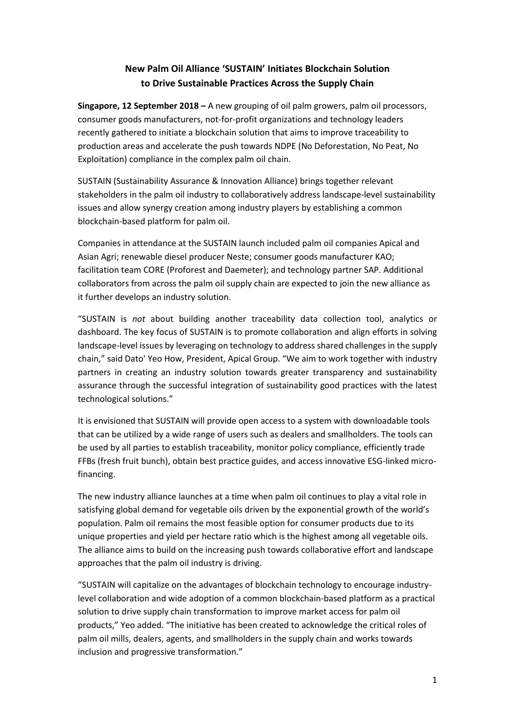## **New Palm Oil Alliance 'SUSTAIN' Initiates Blockchain Solution to Drive Sustainable Practices Across the Supply Chain**

**Singapore, 12 September 2018 –** A new grouping of oil palm growers, palm oil processors, consumer goods manufacturers, not-for-profit organizations and technology leaders recently gathered to initiate a blockchain solution that aims to improve traceability to production areas and accelerate the push towards NDPE (No Deforestation, No Peat, No Exploitation) compliance in the complex palm oil chain.

SUSTAIN (Sustainability Assurance & Innovation Alliance) brings together relevant stakeholders in the palm oil industry to collaboratively address landscape-level sustainability issues and allow synergy creation among industry players by establishing a common blockchain-based platform for palm oil.

Companies in attendance at the SUSTAIN launch included palm oil companies Apical and Asian Agri; renewable diesel producer Neste; consumer goods manufacturer KAO; facilitation team CORE (Proforest and Daemeter); and technology partner SAP. Additional collaborators from across the palm oil supply chain are expected to join the new alliance as it further develops an industry solution.

"SUSTAIN is *not* about building another traceability data collection tool, analytics or dashboard. The key focus of SUSTAIN is to promote collaboration and align efforts in solving landscape-level issues by leveraging on technology to address shared challenges in the supply chain," said Dato' Yeo How, President, Apical Group. "We aim to work together with industry partners in creating an industry solution towards greater transparency and sustainability assurance through the successful integration of sustainability good practices with the latest technological solutions."

It is envisioned that SUSTAIN will provide open access to a system with downloadable tools that can be utilized by a wide range of users such as dealers and smallholders. The tools can be used by all parties to establish traceability, monitor policy compliance, efficiently trade FFBs (fresh fruit bunch), obtain best practice guides, and access innovative ESG-linked microfinancing.

The new industry alliance launches at a time when palm oil continues to play a vital role in satisfying global demand for vegetable oils driven by the exponential growth of the world's population. Palm oil remains the most feasible option for consumer products due to its unique properties and yield per hectare ratio which is the highest among all vegetable oils. The alliance aims to build on the increasing push towards collaborative effort and landscape approaches that the palm oil industry is driving.

"SUSTAIN will capitalize on the advantages of blockchain technology to encourage industrylevel collaboration and wide adoption of a common blockchain-based platform as a practical solution to drive supply chain transformation to improve market access for palm oil products," Yeo added. "The initiative has been created to acknowledge the critical roles of palm oil mills, dealers, agents, and smallholders in the supply chain and works towards inclusion and progressive transformation."